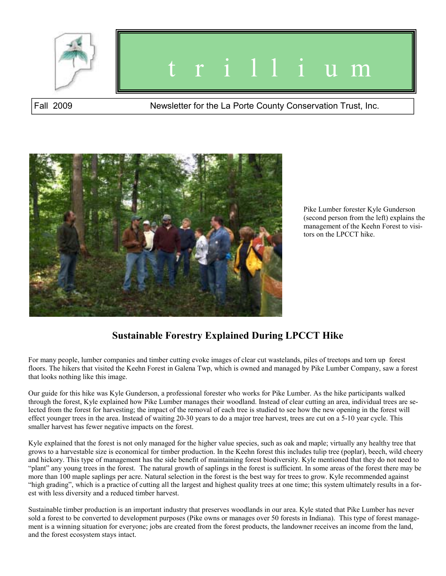

# t r i l l i u m

#### Fall 2009 Newsletter for the La Porte County Conservation Trust, Inc.



Pike Lumber forester Kyle Gunderson (second person from the left) explains the management of the Keehn Forest to visitors on the LPCCT hike.

# **Sustainable Forestry Explained During LPCCT Hike**

For many people, lumber companies and timber cutting evoke images of clear cut wastelands, piles of treetops and torn up forest floors. The hikers that visited the Keehn Forest in Galena Twp, which is owned and managed by Pike Lumber Company, saw a forest that looks nothing like this image.

Our guide for this hike was Kyle Gunderson, a professional forester who works for Pike Lumber. As the hike participants walked through the forest, Kyle explained how Pike Lumber manages their woodland. Instead of clear cutting an area, individual trees are selected from the forest for harvesting; the impact of the removal of each tree is studied to see how the new opening in the forest will effect younger trees in the area. Instead of waiting 20-30 years to do a major tree harvest, trees are cut on a 5-10 year cycle. This smaller harvest has fewer negative impacts on the forest.

Kyle explained that the forest is not only managed for the higher value species, such as oak and maple; virtually any healthy tree that grows to a harvestable size is economical for timber production. In the Keehn forest this includes tulip tree (poplar), beech, wild cheery and hickory. This type of management has the side benefit of maintaining forest biodiversity. Kyle mentioned that they do not need to ìplantî any young trees in the forest. The natural growth of saplings in the forest is sufficient. In some areas of the forest there may be more than 100 maple saplings per acre. Natural selection in the forest is the best way for trees to grow. Kyle recommended against ìhigh gradingî, which is a practice of cutting all the largest and highest quality trees at one time; this system ultimately results in a forest with less diversity and a reduced timber harvest.

Sustainable timber production is an important industry that preserves woodlands in our area. Kyle stated that Pike Lumber has never sold a forest to be converted to development purposes (Pike owns or manages over 50 forests in Indiana). This type of forest management is a winning situation for everyone; jobs are created from the forest products, the landowner receives an income from the land, and the forest ecosystem stays intact.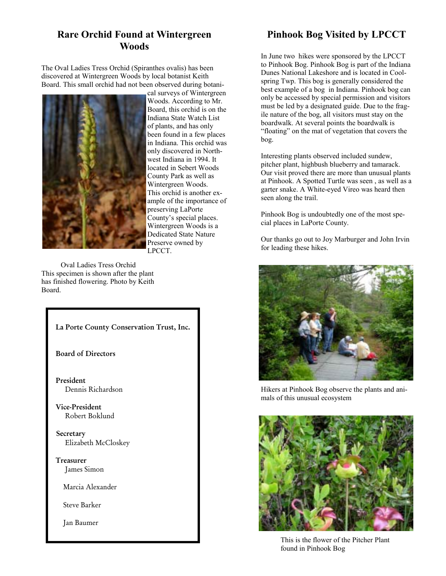#### **Rare Orchid Found at Wintergreen Woods**

The Oval Ladies Tress Orchid (Spiranthes ovalis) has been discovered at Wintergreen Woods by local botanist Keith Board. This small orchid had not been observed during botani-



cal surveys of Wintergreen Woods. According to Mr. Board, this orchid is on the Indiana State Watch List of plants, and has only been found in a few places in Indiana. This orchid was only discovered in Northwest Indiana in 1994. It located in Sebert Woods County Park as well as Wintergreen Woods. This orchid is another example of the importance of preserving LaPorte County's special places. Wintergreen Woods is a Dedicated State Nature Preserve owned by LPCCT.

Oval Ladies Tress Orchid This specimen is shown after the plant has finished flowering. Photo by Keith Board.



Jan Baumer

### **Pinhook Bog Visited by LPCCT**

In June two hikes were sponsored by the LPCCT to Pinhook Bog. Pinhook Bog is part of the Indiana Dunes National Lakeshore and is located in Coolspring Twp. This bog is generally considered the best example of a bog in Indiana. Pinhook bog can only be accessed by special permission and visitors must be led by a designated guide. Due to the fragile nature of the bog, all visitors must stay on the boardwalk. At several points the boardwalk is "floating" on the mat of vegetation that covers the bog.

Interesting plants observed included sundew, pitcher plant, highbush blueberry and tamarack. Our visit proved there are more than unusual plants at Pinhook. A Spotted Turtle was seen , as well as a garter snake. A White-eyed Vireo was heard then seen along the trail.

Pinhook Bog is undoubtedly one of the most special places in LaPorte County.

Our thanks go out to Joy Marburger and John Irvin for leading these hikes.



Hikers at Pinhook Bog observe the plants and animals of this unusual ecosystem



This is the flower of the Pitcher Plant found in Pinhook Bog